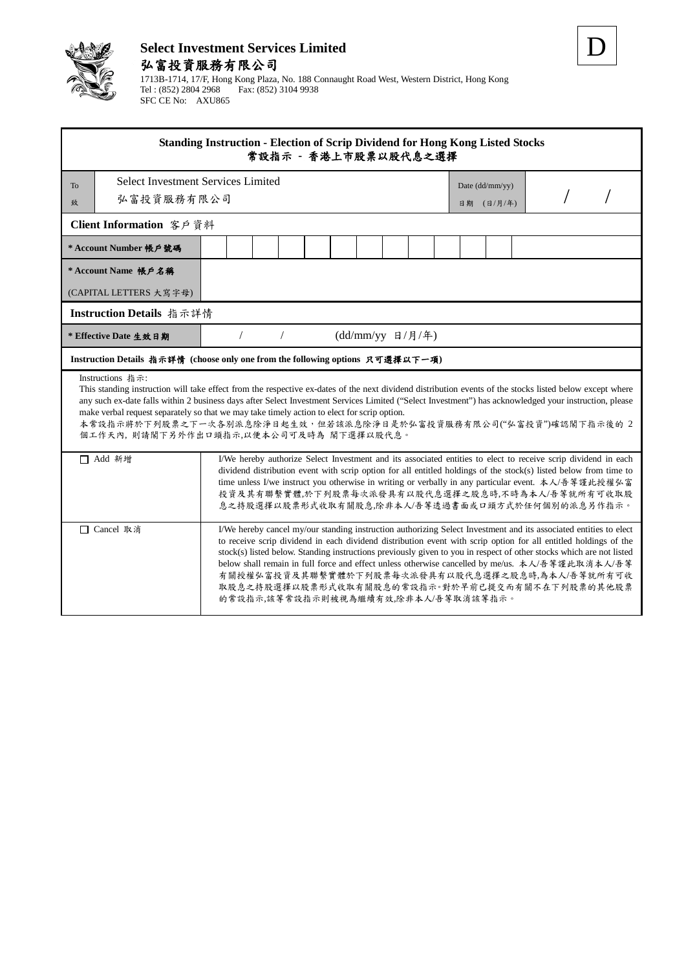

## **Select Investment Services Limited** 弘富投資服務有限公司

1713B-1714, 17/F, Hong Kong Plaza, No. 188 Connaught Road West, Western District, Hong Kong Tel : (852) 2804 2968 Fax: (852) 3104 9938 SFC CE No: AXU865

| <b>Standing Instruction - Election of Scrip Dividend for Hong Kong Listed Stocks</b><br>常設指示 - 香港上市股票以股代息之選擇                                                                                                                                                                                                                                                                                                                                                                                                                                         |                                                                                                                                                                                                                                                                                                                                                                                                                                                                                                                                                                                                              |  |  |  |  |  |            |                 |  |  |  |  |  |
|------------------------------------------------------------------------------------------------------------------------------------------------------------------------------------------------------------------------------------------------------------------------------------------------------------------------------------------------------------------------------------------------------------------------------------------------------------------------------------------------------------------------------------------------------|--------------------------------------------------------------------------------------------------------------------------------------------------------------------------------------------------------------------------------------------------------------------------------------------------------------------------------------------------------------------------------------------------------------------------------------------------------------------------------------------------------------------------------------------------------------------------------------------------------------|--|--|--|--|--|------------|-----------------|--|--|--|--|--|
| Select Investment Services Limited<br>To                                                                                                                                                                                                                                                                                                                                                                                                                                                                                                             |                                                                                                                                                                                                                                                                                                                                                                                                                                                                                                                                                                                                              |  |  |  |  |  |            | Date (dd/mm/yy) |  |  |  |  |  |
| 弘富投資服務有限公司<br>致                                                                                                                                                                                                                                                                                                                                                                                                                                                                                                                                      |                                                                                                                                                                                                                                                                                                                                                                                                                                                                                                                                                                                                              |  |  |  |  |  | 日期 (日/月/年) |                 |  |  |  |  |  |
| Client Information 客戶資料                                                                                                                                                                                                                                                                                                                                                                                                                                                                                                                              |                                                                                                                                                                                                                                                                                                                                                                                                                                                                                                                                                                                                              |  |  |  |  |  |            |                 |  |  |  |  |  |
| * Account Number 帳戶號碼                                                                                                                                                                                                                                                                                                                                                                                                                                                                                                                                |                                                                                                                                                                                                                                                                                                                                                                                                                                                                                                                                                                                                              |  |  |  |  |  |            |                 |  |  |  |  |  |
| * Account Name 帳戶名稱                                                                                                                                                                                                                                                                                                                                                                                                                                                                                                                                  |                                                                                                                                                                                                                                                                                                                                                                                                                                                                                                                                                                                                              |  |  |  |  |  |            |                 |  |  |  |  |  |
| (CAPITAL LETTERS 大寫字母)                                                                                                                                                                                                                                                                                                                                                                                                                                                                                                                               |                                                                                                                                                                                                                                                                                                                                                                                                                                                                                                                                                                                                              |  |  |  |  |  |            |                 |  |  |  |  |  |
| Instruction Details 指示詳情                                                                                                                                                                                                                                                                                                                                                                                                                                                                                                                             |                                                                                                                                                                                                                                                                                                                                                                                                                                                                                                                                                                                                              |  |  |  |  |  |            |                 |  |  |  |  |  |
| * Effective Date 生效日期                                                                                                                                                                                                                                                                                                                                                                                                                                                                                                                                | (dd/mm/yy 日/月/年)                                                                                                                                                                                                                                                                                                                                                                                                                                                                                                                                                                                             |  |  |  |  |  |            |                 |  |  |  |  |  |
| Instruction Details 指示詳情 (choose only one from the following options 只可選擇以下一項)                                                                                                                                                                                                                                                                                                                                                                                                                                                                       |                                                                                                                                                                                                                                                                                                                                                                                                                                                                                                                                                                                                              |  |  |  |  |  |            |                 |  |  |  |  |  |
| Instructions 指示:<br>This standing instruction will take effect from the respective ex-dates of the next dividend distribution events of the stocks listed below except where<br>any such ex-date falls within 2 business days after Select Investment Services Limited ("Select Investment") has acknowledged your instruction, please<br>make verbal request separately so that we may take timely action to elect for scrip option.<br>本常設指示將於下列股票之下一次各別派息除淨日起生效,但若該派息除淨日是於弘富投資服務有限公司("弘富投資")確認閣下指示後的 2<br>個工作天內, 則請閣下另外作出口頭指示,以便本公司可及時為 閣下選擇以股代息。 |                                                                                                                                                                                                                                                                                                                                                                                                                                                                                                                                                                                                              |  |  |  |  |  |            |                 |  |  |  |  |  |
| □ Add 新增<br>I/We hereby authorize Select Investment and its associated entities to elect to receive scrip dividend in each<br>dividend distribution event with scrip option for all entitled holdings of the stock(s) listed below from time to<br>time unless I/we instruct you otherwise in writing or verbally in any particular event. 本人/吾等謹此授權弘富<br>投資及其有聯繫實體,於下列股票每次派發具有以股代息選擇之股息時,不時為本人/吾等就所有可收取股<br>息之持股選擇以股票形式收取有關股息,除非本人/吾等透過書面或口頭方式於任何個別的派息另作指示。                                                                                         |                                                                                                                                                                                                                                                                                                                                                                                                                                                                                                                                                                                                              |  |  |  |  |  |            |                 |  |  |  |  |  |
| □ Cancel 取消                                                                                                                                                                                                                                                                                                                                                                                                                                                                                                                                          | I/We hereby cancel my/our standing instruction authorizing Select Investment and its associated entities to elect<br>to receive scrip dividend in each dividend distribution event with scrip option for all entitled holdings of the<br>stock(s) listed below. Standing instructions previously given to you in respect of other stocks which are not listed<br>below shall remain in full force and effect unless otherwise cancelled by me/us. 本人/吾等謹此取消本人/吾等<br>有關授權弘富投資及其聯繫實體於下列股票每次派發具有以股代息選擇之股息時,為本人/吾等就所有可收<br>取股息之持股選擇以股票形式收取有關股息的常設指示。對於早前已提交而有關不在下列股票的其他股票<br>的常設指示,該等常設指示則被視為繼續有效,除非本人/吾等取消該等指示。 |  |  |  |  |  |            |                 |  |  |  |  |  |